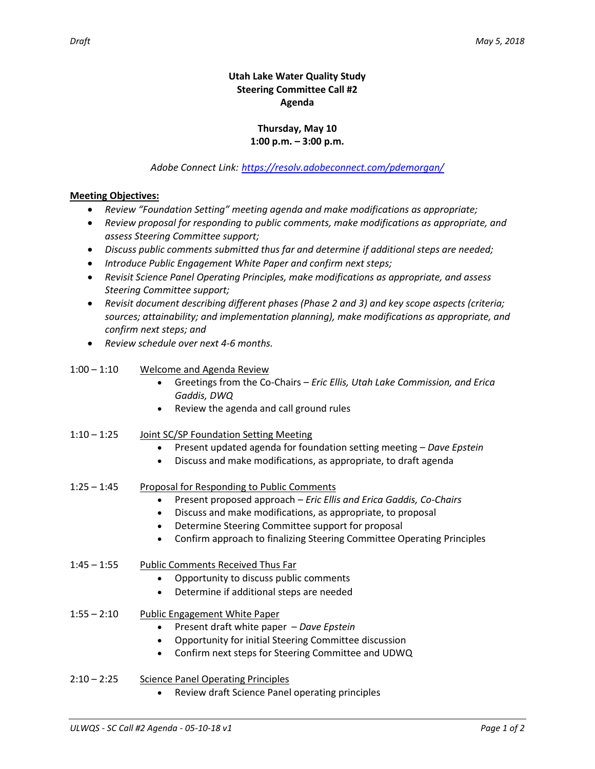# **Thursday, May 10 1:00 p.m. – 3:00 p.m.**

## *Adobe Connect Link: <https://resolv.adobeconnect.com/pdemorgan/>*

### **Meeting Objectives:**

- *Review "Foundation Setting" meeting agenda and make modifications as appropriate;*
- *Review proposal for responding to public comments, make modifications as appropriate, and assess Steering Committee support;*
- *Discuss public comments submitted thus far and determine if additional steps are needed;*
- *Introduce Public Engagement White Paper and confirm next steps;*
- *Revisit Science Panel Operating Principles, make modifications as appropriate, and assess Steering Committee support;*
- *Revisit document describing different phases (Phase 2 and 3) and key scope aspects (criteria; sources; attainability; and implementation planning), make modifications as appropriate, and confirm next steps; and*
- *Review schedule over next 4-6 months.*

### 1:00 – 1:10 Welcome and Agenda Review

- Greetings from the Co-Chairs *Eric Ellis, Utah Lake Commission, and Erica Gaddis, DWQ*
- Review the agenda and call ground rules

### 1:10 – 1:25 Joint SC/SP Foundation Setting Meeting

- Present updated agenda for foundation setting meeting *Dave Epstein*
- Discuss and make modifications, as appropriate, to draft agenda

# 1:25 – 1:45 Proposal for Responding to Public Comments

- Present proposed approach *Eric Ellis and Erica Gaddis, Co-Chairs*
- Discuss and make modifications, as appropriate, to proposal
- Determine Steering Committee support for proposal
- Confirm approach to finalizing Steering Committee Operating Principles
- 1:45 1:55 Public Comments Received Thus Far
	- Opportunity to discuss public comments
	- Determine if additional steps are needed
- 1:55 2:10 Public Engagement White Paper
	- Present draft white paper *Dave Epstein*
	- Opportunity for initial Steering Committee discussion
	- Confirm next steps for Steering Committee and UDWQ
- 2:10 2:25 Science Panel Operating Principles
	- Review draft Science Panel operating principles